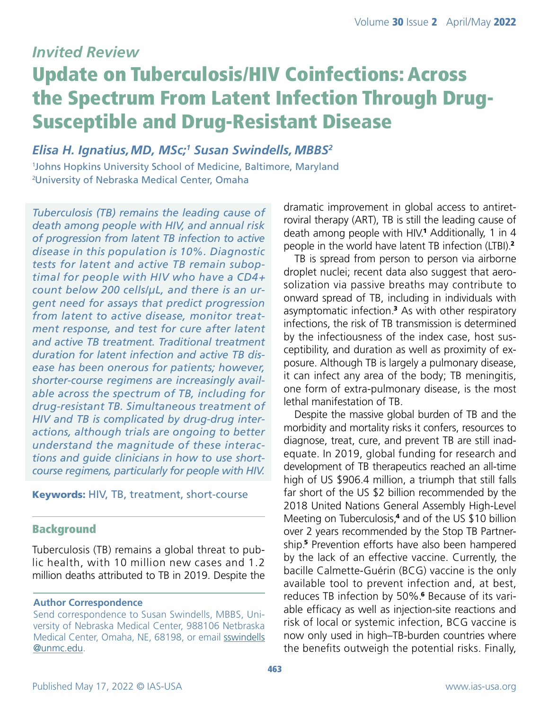# *Invited Review*

# Update on Tuberculosis/HIV Coinfections: Across the Spectrum From Latent Infection Through Drug-Susceptible and Drug-Resistant Disease

*Elisa H. Ignatius,MD, MSc;1 Susan Swindells, MBBS2* 1 Johns Hopkins University School of Medicine, Baltimore, Maryland 2 University of Nebraska Medical Center, Omaha

*Tuberculosis (TB) remains the leading cause of death among people with HIV, and annual risk of progression from latent TB infection to active disease in this population is 10%. Diagnostic tests for latent and active TB remain suboptimal for people with HIV who have a CD4<sup>+</sup> count below 200 cells/μL, and there is an urgent need for assays that predict progression from latent to active disease, monitor treatment response, and test for cure after latent and active TB treatment. Traditional treatment duration for latent infection and active TB disease has been onerous for patients; however, shorter-course regimens are increasingly available across the spectrum of TB, including for drug-resistant TB. Simultaneous treatment of HIV and TB is complicated by drug-drug interactions, although trials are ongoing to better understand the magnitude of these interactions and guide clinicians in how to use shortcourse regimens, particularly for people with HIV.*

#### Keywords: HIV, TB, treatment, short-course

#### Background

Tuberculosis (TB) remains a global threat to public health, with 10 million new cases and 1.2 million deaths attributed to TB in 2019. Despite the

#### **Author Correspondence**

Send correspondence to Susan Swindells, MBBS, University of Nebraska Medical Center, 988106 Netbraska Medical Center, Omaha, NE, 68198, or email [sswindells](mailto:sswindells
@unmc.edu) [@unmc.edu.](mailto:sswindells
@unmc.edu)

dramatic improvement in global access to antiretroviral therapy (ART), TB is still the leading cause of death among people with HIV.<sup>1</sup> Additionally, 1 in 4 people in the world have latent TB infection (LTBI).<sup>2</sup>

TB is spread from person to person via airborne droplet nuclei; recent data also suggest that aerosolization via passive breaths may contribute to onward spread of TB, including in individuals with asymptomatic infection.3 As with other respiratory infections, the risk of TB transmission is determined by the infectiousness of the index case, host susceptibility, and duration as well as proximity of exposure. Although TB is largely a pulmonary disease, it can infect any area of the body; TB meningitis, one form of extra-pulmonary disease, is the most lethal manifestation of TB.

Despite the massive global burden of TB and the morbidity and mortality risks it confers, resources to diagnose, treat, cure, and prevent TB are still inadequate. In 2019, global funding for research and development of TB therapeutics reached an all-time high of US \$906.4 million, a triumph that still falls far short of the US \$2 billion recommended by the 2018 United Nations General Assembly High-Level Meeting on Tuberculosis,<sup>4</sup> and of the US \$10 billion over 2 years recommended by the Stop TB Partnership.5 Prevention efforts have also been hampered by the lack of an effective vaccine. Currently, the bacille Calmette-Guérin (BCG) vaccine is the only available tool to prevent infection and, at best, reduces TB infection by 50%.<sup>6</sup> Because of its variable efficacy as well as injection-site reactions and risk of local or systemic infection, BCG vaccine is now only used in high–TB-burden countries where the benefits outweigh the potential risks. Finally,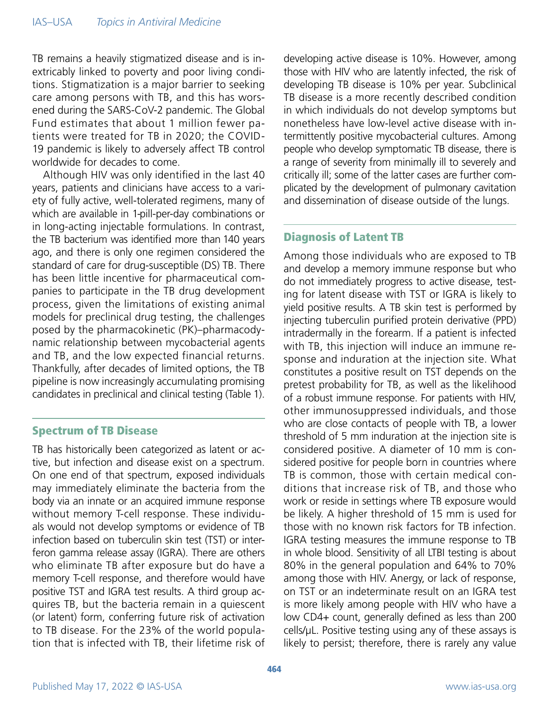TB remains a heavily stigmatized disease and is inextricably linked to poverty and poor living conditions. Stigmatization is a major barrier to seeking care among persons with TB, and this has worsened during the SARS-CoV-2 pandemic. The Global Fund estimates that about 1 million fewer patients were treated for TB in 2020; the COVID-19 pandemic is likely to adversely affect TB control worldwide for decades to come.

Although HIV was only identified in the last 40 years, patients and clinicians have access to a variety of fully active, well-tolerated regimens, many of which are available in 1-pill-per-day combinations or in long-acting injectable formulations. In contrast, the TB bacterium was identified more than 140 years ago, and there is only one regimen considered the standard of care for drug-susceptible (DS) TB. There has been little incentive for pharmaceutical companies to participate in the TB drug development process, given the limitations of existing animal models for preclinical drug testing, the challenges posed by the pharmacokinetic (PK)–pharmacodynamic relationship between mycobacterial agents and TB, and the low expected financial returns. Thankfully, after decades of limited options, the TB pipeline is now increasingly accumulating promising candidates in preclinical and clinical testing (Table 1).

#### Spectrum of TB Disease

TB has historically been categorized as latent or active, but infection and disease exist on a spectrum. On one end of that spectrum, exposed individuals may immediately eliminate the bacteria from the body via an innate or an acquired immune response without memory T-cell response. These individuals would not develop symptoms or evidence of TB infection based on tuberculin skin test (TST) or interferon gamma release assay (IGRA). There are others who eliminate TB after exposure but do have a memory T-cell response, and therefore would have positive TST and IGRA test results. A third group acquires TB, but the bacteria remain in a quiescent (or latent) form, conferring future risk of activation to TB disease. For the 23% of the world population that is infected with TB, their lifetime risk of developing active disease is 10%. However, among those with HIV who are latently infected, the risk of developing TB disease is 10% per year. Subclinical TB disease is a more recently described condition in which individuals do not develop symptoms but nonetheless have low-level active disease with intermittently positive mycobacterial cultures. Among people who develop symptomatic TB disease, there is a range of severity from minimally ill to severely and critically ill; some of the latter cases are further complicated by the development of pulmonary cavitation and dissemination of disease outside of the lungs.

# Diagnosis of Latent TB

Among those individuals who are exposed to TB and develop a memory immune response but who do not immediately progress to active disease, testing for latent disease with TST or IGRA is likely to yield positive results. A TB skin test is performed by injecting tuberculin purified protein derivative (PPD) intradermally in the forearm. If a patient is infected with TB, this injection will induce an immune response and induration at the injection site. What constitutes a positive result on TST depends on the pretest probability for TB, as well as the likelihood of a robust immune response. For patients with HIV, other immunosuppressed individuals, and those who are close contacts of people with TB, a lower threshold of 5 mm induration at the injection site is considered positive. A diameter of 10 mm is considered positive for people born in countries where TB is common, those with certain medical conditions that increase risk of TB, and those who work or reside in settings where TB exposure would be likely. A higher threshold of 15 mm is used for those with no known risk factors for TB infection. IGRA testing measures the immune response to TB in whole blood. Sensitivity of all LTBI testing is about 80% in the general population and 64% to 70% among those with HIV. Anergy, or lack of response, on TST or an indeterminate result on an IGRA test is more likely among people with HIV who have a low CD4+ count, generally defined as less than 200 cells/μL. Positive testing using any of these assays is likely to persist; therefore, there is rarely any value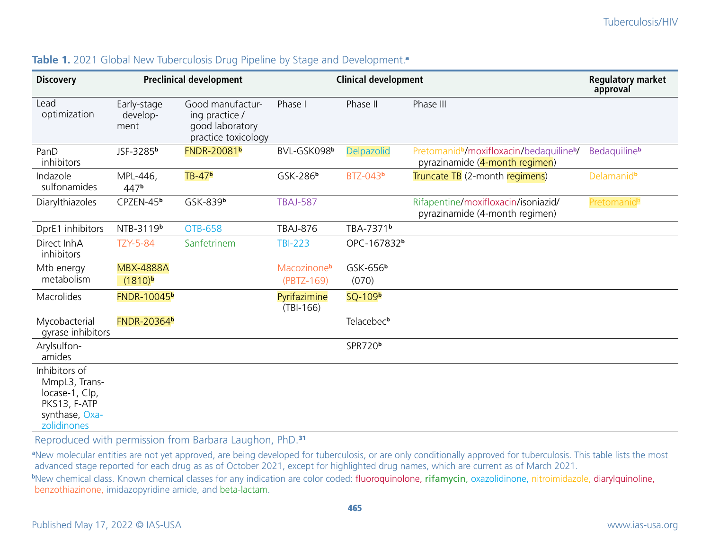| <b>Discovery</b>                                                                                  | <b>Preclinical development</b>          |                                                                              | <b>Clinical development</b>           |                               |                                                                                                    | <b>Regulatory market</b><br>approval |
|---------------------------------------------------------------------------------------------------|-----------------------------------------|------------------------------------------------------------------------------|---------------------------------------|-------------------------------|----------------------------------------------------------------------------------------------------|--------------------------------------|
| Lead<br>optimization                                                                              | Early-stage<br>develop-<br>ment         | Good manufactur-<br>ing practice /<br>good laboratory<br>practice toxicology | Phase I                               | Phase II                      | Phase III                                                                                          |                                      |
| PanD<br>inhibitors                                                                                | JSF-3285b                               | <b>FNDR-20081b</b>                                                           | BVL-GSK098b                           | <b>Delpazolid</b>             | Pretomanid <sup>b</sup> /moxifloxacin/bedaquiline <sup>b</sup> /<br>pyrazinamide (4-month regimen) | Bedaquiline <sup>b</sup>             |
| Indazole<br>sulfonamides                                                                          | MPL-446,<br>447b                        | TB-47 <sup>b</sup>                                                           | GSK-286 <sup>b</sup>                  | BTZ-043 <sup>b</sup>          | Truncate TB (2-month regimens)                                                                     | Delamanid <sup>b</sup>               |
| Diarylthiazoles                                                                                   | CPZEN-45b                               | GSK-839b                                                                     | <b>TBAJ-587</b>                       |                               | Rifapentine/moxifloxacin/isoniazid/<br>pyrazinamide (4-month regimen)                              | Pretomanid <sup>b</sup>              |
| DprE1 inhibitors                                                                                  | NTB-3119b                               | <b>OTB-658</b>                                                               | <b>TBAJ-876</b>                       | TBA-7371 <sup>b</sup>         |                                                                                                    |                                      |
| Direct InhA<br>inhibitors                                                                         | <b>TZY-5-84</b>                         | Sanfetrinem                                                                  | <b>TBI-223</b>                        | OPC-167832b                   |                                                                                                    |                                      |
| Mtb energy<br>metabolism                                                                          | <b>MBX-4888A</b><br>(1810) <sup>b</sup> |                                                                              | Macozinone <sup>b</sup><br>(PBTZ-169) | GSK-656 <sup>b</sup><br>(070) |                                                                                                    |                                      |
| Macrolides                                                                                        | <b>FNDR-10045b</b>                      |                                                                              | Pyrifazimine<br>$(TBI-166)$           | SQ-109b                       |                                                                                                    |                                      |
| Mycobacterial<br>gyrase inhibitors                                                                | <b>FNDR-20364b</b>                      |                                                                              |                                       | Telacebec <sup>b</sup>        |                                                                                                    |                                      |
| Arylsulfon-<br>amides                                                                             |                                         |                                                                              |                                       | SPR720 <sup>b</sup>           |                                                                                                    |                                      |
| Inhibitors of<br>MmpL3, Trans-<br>locase-1, Clp,<br>PKS13, F-ATP<br>synthase, Oxa-<br>zolidinones |                                         |                                                                              |                                       |                               |                                                                                                    |                                      |

# Table 1. 2021 Global New Tuberculosis Drug Pipeline by Stage and Development.<sup>a</sup>

Reproduced with permission from Barbara Laughon, PhD.<sup>31</sup>

<sup>a</sup>New molecular entities are not yet approved, are being developed for tuberculosis, or are only conditionally approved for tuberculosis. This table lists the most advanced stage reported for each drug as as of October 2021, except for highlighted drug names, which are current as of March 2021.

 **b** New chemical class. Known chemical classes for any indication are color coded: fluoroquinolone, rifamycin, oxazolidinone, nitroimidazole, diarylquinoline, benzothiazinone, imidazopyridine amide, and beta-lactam.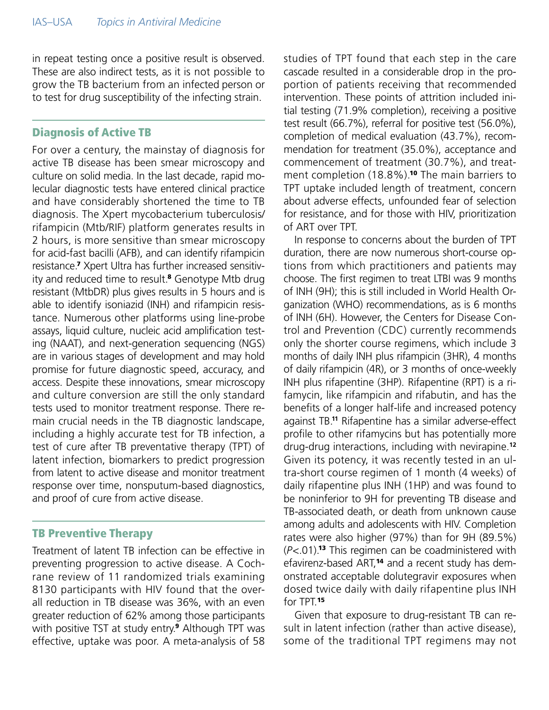in repeat testing once a positive result is observed. These are also indirect tests, as it is not possible to grow the TB bacterium from an infected person or to test for drug susceptibility of the infecting strain.

#### Diagnosis of Active TB

For over a century, the mainstay of diagnosis for active TB disease has been smear microscopy and culture on solid media. In the last decade, rapid molecular diagnostic tests have entered clinical practice and have considerably shortened the time to TB diagnosis. The Xpert mycobacterium tuberculosis/ rifampicin (Mtb/RIF) platform generates results in 2 hours, is more sensitive than smear microscopy for acid-fast bacilli (AFB), and can identify rifampicin resistance.7 Xpert Ultra has further increased sensitivity and reduced time to result.<sup>8</sup> Genotype Mtb drug resistant (MtbDR) plus gives results in 5 hours and is able to identify isoniazid (INH) and rifampicin resistance. Numerous other platforms using line-probe assays, liquid culture, nucleic acid amplification testing (NAAT), and next-generation sequencing (NGS) are in various stages of development and may hold promise for future diagnostic speed, accuracy, and access. Despite these innovations, smear microscopy and culture conversion are still the only standard tests used to monitor treatment response. There remain crucial needs in the TB diagnostic landscape, including a highly accurate test for TB infection, a test of cure after TB preventative therapy (TPT) of latent infection, biomarkers to predict progression from latent to active disease and monitor treatment response over time, nonsputum-based diagnostics, and proof of cure from active disease.

#### TB Preventive Therapy

Treatment of latent TB infection can be effective in preventing progression to active disease. A Cochrane review of 11 randomized trials examining 8130 participants with HIV found that the overall reduction in TB disease was 36%, with an even greater reduction of 62% among those participants with positive TST at study entry.<sup>9</sup> Although TPT was effective, uptake was poor. A meta-analysis of 58 studies of TPT found that each step in the care cascade resulted in a considerable drop in the proportion of patients receiving that recommended intervention. These points of attrition included initial testing (71.9% completion), receiving a positive test result (66.7%), referral for positive test (56.0%), completion of medical evaluation (43.7%), recommendation for treatment (35.0%), acceptance and commencement of treatment (30.7%), and treatment completion (18.8%).<sup>10</sup> The main barriers to TPT uptake included length of treatment, concern about adverse effects, unfounded fear of selection for resistance, and for those with HIV, prioritization of ART over TPT.

In response to concerns about the burden of TPT duration, there are now numerous short-course options from which practitioners and patients may choose. The first regimen to treat LTBI was 9 months of INH (9H); this is still included in World Health Organization (WHO) recommendations, as is 6 months of INH (6H). However, the Centers for Disease Control and Prevention (CDC) currently recommends only the shorter course regimens, which include 3 months of daily INH plus rifampicin (3HR), 4 months of daily rifampicin (4R), or 3 months of once-weekly INH plus rifapentine (3HP). Rifapentine (RPT) is a rifamycin, like rifampicin and rifabutin, and has the benefits of a longer half-life and increased potency against TB.**11** Rifapentine has a similar adverse-effect profile to other rifamycins but has potentially more drug-drug interactions, including with nevirapine.**<sup>12</sup>** Given its potency, it was recently tested in an ultra-short course regimen of 1 month (4 weeks) of daily rifapentine plus INH (1HP) and was found to be noninferior to 9H for preventing TB disease and TB-associated death, or death from unknown cause among adults and adolescents with HIV. Completion rates were also higher (97%) than for 9H (89.5%) (*P*<.01).13 This regimen can be coadministered with efavirenz-based ART,<sup>14</sup> and a recent study has demonstrated acceptable dolutegravir exposures when dosed twice daily with daily rifapentine plus INH for TPT.<sup>15</sup>

Given that exposure to drug-resistant TB can result in latent infection (rather than active disease), some of the traditional TPT regimens may not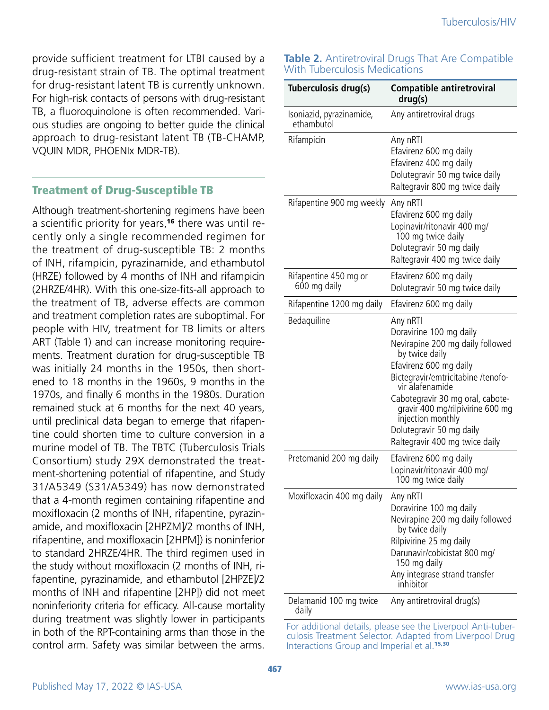provide sufficient treatment for LTBI caused by a drug-resistant strain of TB. The optimal treatment for drug-resistant latent TB is currently unknown. For high-risk contacts of persons with drug-resistant TB, a fluoroquinolone is often recommended. Various studies are ongoing to better guide the clinical approach to drug-resistant latent TB (TB-CHAMP, VQUIN MDR, PHOENIx MDR-TB).

#### Treatment of Drug-Susceptible TB

Although treatment-shortening regimens have been a scientific priority for years,<sup>16</sup> there was until recently only a single recommended regimen for the treatment of drug-susceptible TB: 2 months of INH, rifampicin, pyrazinamide, and ethambutol (HRZE) followed by 4 months of INH and rifampicin (2HRZE/4HR). With this one-size-fits-all approach to the treatment of TB, adverse effects are common and treatment completion rates are suboptimal. For people with HIV, treatment for TB limits or alters ART (Table 1) and can increase monitoring requirements. Treatment duration for drug-susceptible TB was initially 24 months in the 1950s, then shortened to 18 months in the 1960s, 9 months in the 1970s, and finally 6 months in the 1980s. Duration remained stuck at 6 months for the next 40 years, until preclinical data began to emerge that rifapentine could shorten time to culture conversion in a murine model of TB. The TBTC (Tuberculosis Trials Consortium) study 29X demonstrated the treatment-shortening potential of rifapentine, and Study 31/A5349 (S31/A5349) has now demonstrated that a 4-month regimen containing rifapentine and moxifloxacin (2 months of INH, rifapentine, pyrazinamide, and moxifloxacin [2HPZM]/2 months of INH, rifapentine, and moxifloxacin [2HPM]) is noninferior to standard 2HRZE/4HR. The third regimen used in the study without moxifloxacin (2 months of INH, rifapentine, pyrazinamide, and ethambutol [2HPZE]/2 months of INH and rifapentine [2HP]) did not meet noninferiority criteria for efficacy. All-cause mortality during treatment was slightly lower in participants in both of the RPT-containing arms than those in the control arm. Safety was similar between the arms.

#### **Table 2.** Antiretroviral Drugs That Are Compatible With Tuberculosis Medications

| Tuberculosis drug(s)                   | <b>Compatible antiretroviral</b><br>drug(s)                                                                                                                                                                                                                                                                                             |
|----------------------------------------|-----------------------------------------------------------------------------------------------------------------------------------------------------------------------------------------------------------------------------------------------------------------------------------------------------------------------------------------|
| Isoniazid, pyrazinamide,<br>ethambutol | Any antiretroviral drugs                                                                                                                                                                                                                                                                                                                |
| Rifampicin                             | Any nRTI<br>Efavirenz 600 mg daily<br>Efavirenz 400 mg daily<br>Dolutegravir 50 mg twice daily<br>Raltegravir 800 mg twice daily                                                                                                                                                                                                        |
| Rifapentine 900 mg weekly              | Any nRTI<br>Efavirenz 600 mg daily<br>Lopinavir/ritonavir 400 mg/<br>100 mg twice daily<br>Dolutegravir 50 mg daily<br>Raltegravir 400 mg twice daily                                                                                                                                                                                   |
| Rifapentine 450 mg or<br>600 mg daily  | Efavirenz 600 mg daily<br>Dolutegravir 50 mg twice daily                                                                                                                                                                                                                                                                                |
| Rifapentine 1200 mg daily              | Efavirenz 600 mg daily                                                                                                                                                                                                                                                                                                                  |
| Bedaquiline                            | Any nRTI<br>Doravirine 100 mg daily<br>Nevirapine 200 mg daily followed<br>by twice daily<br>Efavirenz 600 mg daily<br>Bictegravir/emtricitabine /tenofo-<br>vir alafenamide<br>Cabotegravir 30 mg oral, cabote-<br>gravir 400 mg/rilpivirine 600 mg<br>injection monthly<br>Dolutegravir 50 mg daily<br>Raltegravir 400 mg twice daily |
| Pretomanid 200 mg daily                | Efavirenz 600 mg daily<br>Lopinavir/ritonavir 400 mg/<br>100 mg twice daily                                                                                                                                                                                                                                                             |
| Moxifloxacin 400 mg daily              | Any nRTI<br>Doravirine 100 mg daily<br>Nevirapine 200 mg daily followed<br>by twice daily<br>Rilpivirine 25 mg daily<br>Darunavir/cobicistat 800 mg/<br>150 mg daily<br>Any integrase strand transfer<br>inhibitor                                                                                                                      |
| Delamanid 100 mg twice<br>daily        | Any antiretroviral drug(s)                                                                                                                                                                                                                                                                                                              |

For additional details, please see the Liverpool Anti-tuberculosis Treatment Selector. Adapted from Liverpool Drug Interactions Group and Imperial et al.<sup>15,30</sup>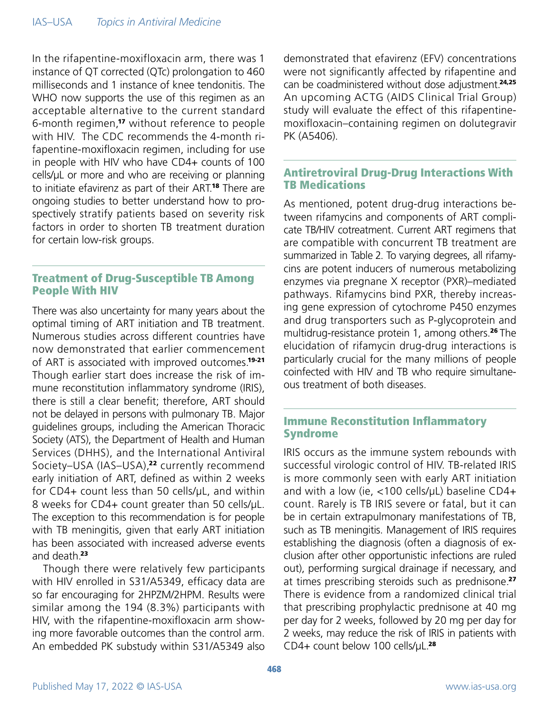In the rifapentine-moxifloxacin arm, there was 1 instance of QT corrected (QTc) prolongation to 460 milliseconds and 1 instance of knee tendonitis. The WHO now supports the use of this regimen as an acceptable alternative to the current standard 6-month regimen,17 without reference to people with HIV. The CDC recommends the 4-month rifapentine-moxifloxacin regimen, including for use in people with HIV who have CD4+ counts of 100 cells/μL or more and who are receiving or planning to initiate efavirenz as part of their ART.<sup>18</sup> There are ongoing studies to better understand how to prospectively stratify patients based on severity risk factors in order to shorten TB treatment duration for certain low-risk groups.

# Treatment of Drug-Susceptible TB Among People With HIV

There was also uncertainty for many years about the optimal timing of ART initiation and TB treatment. Numerous studies across different countries have now demonstrated that earlier commencement of ART is associated with improved outcomes.<sup>19-21</sup> Though earlier start does increase the risk of immune reconstitution inflammatory syndrome (IRIS), there is still a clear benefit; therefore, ART should not be delayed in persons with pulmonary TB. Major guidelines groups, including the American Thoracic Society (ATS), the Department of Health and Human Services (DHHS), and the International Antiviral Society-USA (IAS-USA),<sup>22</sup> currently recommend early initiation of ART, defined as within 2 weeks for CD4+ count less than 50 cells/μL, and within 8 weeks for CD4+ count greater than 50 cells/μL. The exception to this recommendation is for people with TB meningitis, given that early ART initiation has been associated with increased adverse events and death 23

Though there were relatively few participants with HIV enrolled in S31/A5349, efficacy data are so far encouraging for 2HPZM/2HPM. Results were similar among the 194 (8.3%) participants with HIV, with the rifapentine-moxifloxacin arm showing more favorable outcomes than the control arm. An embedded PK substudy within S31/A5349 also

demonstrated that efavirenz (EFV) concentrations were not significantly affected by rifapentine and can be coadministered without dose adjustment.<sup>24,25</sup> An upcoming ACTG (AIDS Clinical Trial Group) study will evaluate the effect of this rifapentinemoxifloxacin–containing regimen on dolutegravir PK (A5406).

#### Antiretroviral Drug-Drug Interactions With TB Medications

As mentioned, potent drug-drug interactions between rifamycins and components of ART complicate TB/HIV cotreatment. Current ART regimens that are compatible with concurrent TB treatment are summarized in Table 2. To varying degrees, all rifamycins are potent inducers of numerous metabolizing enzymes via pregnane X receptor (PXR)–mediated pathways. Rifamycins bind PXR, thereby increasing gene expression of cytochrome P450 enzymes and drug transporters such as P-glycoprotein and multidrug-resistance protein 1, among others.<sup>26</sup> The elucidation of rifamycin drug-drug interactions is particularly crucial for the many millions of people coinfected with HIV and TB who require simultaneous treatment of both diseases.

# Immune Reconstitution Inflammatory Syndrome

IRIS occurs as the immune system rebounds with successful virologic control of HIV. TB-related IRIS is more commonly seen with early ART initiation and with a low (ie, <100 cells/uL) baseline CD4+ count. Rarely is TB IRIS severe or fatal, but it can be in certain extrapulmonary manifestations of TB, such as TB meningitis. Management of IRIS requires establishing the diagnosis (often a diagnosis of exclusion after other opportunistic infections are ruled out), performing surgical drainage if necessary, and at times prescribing steroids such as prednisone.<sup>27</sup> There is evidence from a randomized clinical trial that prescribing prophylactic prednisone at 40 mg per day for 2 weeks, followed by 20 mg per day for 2 weeks, may reduce the risk of IRIS in patients with CD4+ count below 100 cells/μL.28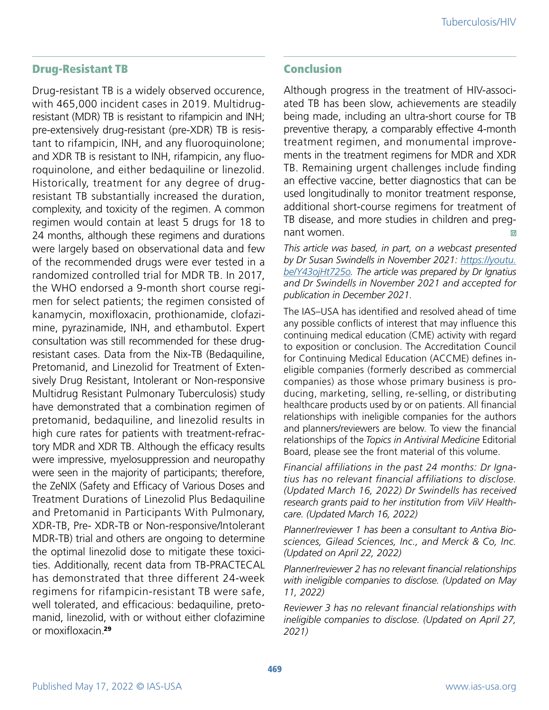## Drug-Resistant TB

Drug-resistant TB is a widely observed occurence, with 465,000 incident cases in 2019. Multidrugresistant (MDR) TB is resistant to rifampicin and INH; pre-extensively drug-resistant (pre-XDR) TB is resistant to rifampicin, INH, and any fluoroquinolone; and XDR TB is resistant to INH, rifampicin, any fluoroquinolone, and either bedaquiline or linezolid. Historically, treatment for any degree of drugresistant TB substantially increased the duration, complexity, and toxicity of the regimen. A common regimen would contain at least 5 drugs for 18 to 24 months, although these regimens and durations were largely based on observational data and few of the recommended drugs were ever tested in a randomized controlled trial for MDR TB. In 2017, the WHO endorsed a 9-month short course regimen for select patients; the regimen consisted of kanamycin, moxifloxacin, prothionamide, clofazimine, pyrazinamide, INH, and ethambutol. Expert consultation was still recommended for these drugresistant cases. Data from the Nix-TB (Bedaquiline, Pretomanid, and Linezolid for Treatment of Extensively Drug Resistant, Intolerant or Non-responsive Multidrug Resistant Pulmonary Tuberculosis) study have demonstrated that a combination regimen of pretomanid, bedaquiline, and linezolid results in high cure rates for patients with treatment-refractory MDR and XDR TB. Although the efficacy results were impressive, myelosuppression and neuropathy were seen in the majority of participants; therefore, the ZeNIX (Safety and Efficacy of Various Doses and Treatment Durations of Linezolid Plus Bedaquiline and Pretomanid in Participants With Pulmonary, XDR-TB, Pre- XDR-TB or Non-responsive/Intolerant MDR-TB) trial and others are ongoing to determine the optimal linezolid dose to mitigate these toxicities. Additionally, recent data from TB-PRACTECAL has demonstrated that three different 24-week regimens for rifampicin-resistant TB were safe, well tolerated, and efficacious: bedaquiline, pretomanid, linezolid, with or without either clofazimine or moxifloxacin.<sup>29</sup>

#### Conclusion

Although progress in the treatment of HIV-associated TB has been slow, achievements are steadily being made, including an ultra-short course for TB preventive therapy, a comparably effective 4-month treatment regimen, and monumental improvements in the treatment regimens for MDR and XDR TB. Remaining urgent challenges include finding an effective vaccine, better diagnostics that can be used longitudinally to monitor treatment response, additional short-course regimens for treatment of TB disease, and more studies in children and pregnant women.  $\odot$ 

*This article was based, in part, on a webcast presented by Dr Susan Swindells in November 2021: [https://youtu.](https://www.youtube.com/watch?v=Y43ojHt725o) [be/Y43ojHt725o](https://www.youtube.com/watch?v=Y43ojHt725o). The article was prepared by Dr Ignatius and Dr Swindells in November 2021 and accepted for publication in December 2021.*

The IAS–USA has identified and resolved ahead of time any possible conflicts of interest that may influence this continuing medical education (CME) activity with regard to exposition or conclusion. The Accreditation Council for Continuing Medical Education (ACCME) defines ineligible companies (formerly described as commercial companies) as those whose primary business is producing, marketing, selling, re-selling, or distributing healthcare products used by or on patients. All financial relationships with ineligible companies for the authors and planners/reviewers are below. To view the financial relationships of the *Topics in Antiviral Medicine* Editorial Board, please see the front material of this volume.

*Financial affiliations in the past 24 months: Dr Ignatius has no relevant financial affiliations to disclose. (Updated March 16, 2022) Dr Swindells has received research grants paid to her institution from ViiV Healthcare. (Updated March 16, 2022)* 

*Planner/reviewer 1 has been a consultant to Antiva Biosciences, Gilead Sciences, Inc., and Merck & Co, Inc. (Updated on April 22, 2022)*

*Planner/reviewer 2 has no relevant financial relationships with ineligible companies to disclose. (Updated on May 11, 2022)*

*Reviewer 3 has no relevant financial relationships with ineligible companies to disclose. (Updated on April 27, 2021)*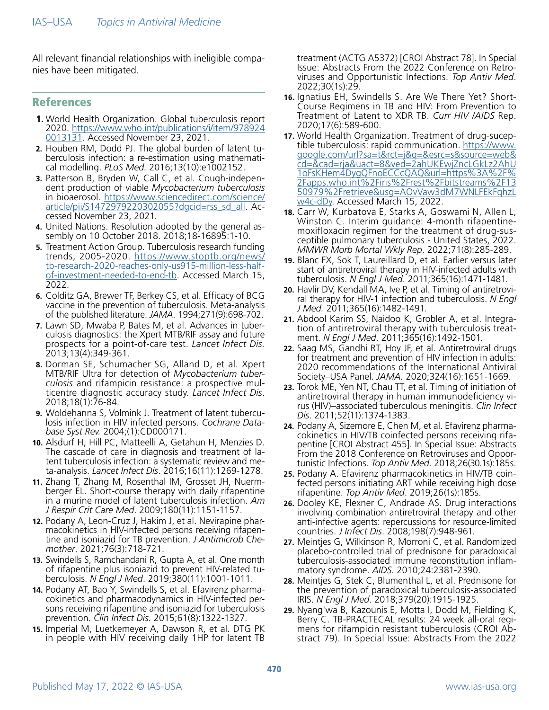All relevant financial relationships with ineligible companies have been mitigated.

#### References

- **1.** World Health Organization. Global tuberculosis report 2020. [https://www.who.int/publications/i/item/978924](https://www.who.int/publications/i/item/9789240013131) [0013131.](https://www.who.int/publications/i/item/9789240013131) Accessed November 23, 2021.
- **2.** Houben RM, Dodd PJ. The global burden of latent tuberculosis infection: a re-estimation using mathematical modelling. *PLoS Med.* 2016;13(10):e1002152.
- **3.** Patterson B, Bryden W, Call C, et al. Cough-independent production of viable *Mycobacterium tuberculosis* in bioaerosol. [https://www.sciencedirect.com/science/](https://www.sciencedirect.com/science/article/pii/S1472979220302055?dgcid=rss_sd_all) [article/pii/S1472979220302055?dgcid=rss\\_sd\\_all.](https://www.sciencedirect.com/science/article/pii/S1472979220302055?dgcid=rss_sd_all) Accessed November 23, 2021.
- **4.** United Nations. Resolution adopted by the general assembly on 10 October 2018. 2018;18-16895:1-10.
- **5.** Treatment Action Group. Tuberculosis research funding trends, 2005-2020. [https://www.stoptb.org/news/](https://www.stoptb.org/news/tb-research-2020-reaches-only-us915-million-less-half-of-investment-needed-to-end-tb) [tb-research-2020-reaches-only-us915-million-less-half](https://www.stoptb.org/news/tb-research-2020-reaches-only-us915-million-less-half-of-investment-needed-to-end-tb)[of-investment-needed-to-end-tb](https://www.stoptb.org/news/tb-research-2020-reaches-only-us915-million-less-half-of-investment-needed-to-end-tb). Accessed March 15, 2022.
- **6.** Colditz GA, Brewer TF, Berkey CS, et al. Efficacy of BCG vaccine in the prevention of tuberculosis. Meta-analysis of the published literature. *JAMA*. 1994;271(9):698-702.
- **7.** Lawn SD, Mwaba P, Bates M, et al. Advances in tuber- culosis diagnostics: the Xpert MTB/RIF assay and future prospects for a point-of-care test. *Lancet Infect Dis.* 2013;13(4):349-361.
- **8.** Dorman SE, Schumacher SG, Alland D, et al. Xpert MTB/RIF Ultra for detection of *Mycobacterium tuber-*<br>*culosis* and rifampicin resistance: a prospective mul-<br>ticentre diagnostic accuracy study. *Lancet Infect Dis.*<br>2018;18(1):76-84.
- **9.** Woldehanna S, Volmink J. Treatment of latent tuberculosis infection in HIV infected persons. *Cochrane Database Syst Rev.* 2004;(1):CD000171.
- **10.** Alsdurf H, Hill PC, Matteelli A, Getahun H, Menzies D. The cascade of care in diagnosis and treatment of latent tuberculosis infection: a systematic review and meta-analysis. *Lancet Infect Dis*. 2016;16(11):1269-1278.
- **11.** Zhang T, Zhang M, Rosenthal IM, Grosset JH, Nuermberger EL. Short-course therapy with daily rifapentine in a murine model of latent tuberculosis infection. *Am J Respir Crit Care Med*. 2009;180(11):1151-1157.
- **12.** Podany A, Leon-Cruz J, Hakim J, et al. Nevirapine pharmacokinetics in HIV-infected persons receiving rifapentine and isoniazid for TB prevention. *J Antimicrob Chemother*. 2021;76(3):718-721.
- **13.** Swindells S, Ramchandani R, Gupta A, et al. One month of rifapentine plus isoniazid to prevent HIV-related tuberculosis. *N Engl J Med*. 2019;380(11):1001-1011.
- **14.** Podany AT, Bao Y, Swindells S, et al. Efavirenz pharmacokinetics and pharmacodynamics in HIV-infected persons receiving rifapentine and isoniazid for tuberculosis prevention. *Clin Infect Dis.* 2015;61(8):1322-1327.
- **15.** Imperial M, Luetkemeyer A, Dawson R, et al. DTG PK in people with HIV receiving daily 1HP for latent TB

treatment (ACTG A5372) [CROI Abstract 78]. In Special Issue: Abstracts From the 2022 Conference on Retroviruses and Opportunistic Infections. *Top Antiv Med*. 2022;30(1s):29.

- **16.** Ignatius EH, Swindells S. Are We There Yet? Short-Course Regimens in TB and HIV: From Prevention to Treatment of Latent to XDR TB. *Curr HIV /AIDS* Rep. 2020;17(6):589-600.
- **17.** World Health Organization. Treatment of drug-sucep- tible tuberculosis: rapid communication. [https://www.](https://www.google.com/url?sa=t&rct=j&q=&esrc=s&source=web&cd=&cad=rja&uact=8&ved=2ahUKEwjZncLGkLz2AhU1oFsKHem4DygQFnoECCcQAQ&url=https%3A%2F%2Fapps.who.int%2Firis%2Frest%2Fbitstreams%2F1350979%2Fretrieve&usg=AOvVaw3dM7WNLFEkFqhzLw4c-dDy) [google.com/url?sa=t&rct=j&q=&esrc=s&source=web&](https://www.google.com/url?sa=t&rct=j&q=&esrc=s&source=web&cd=&cad=rja&uact=8&ved=2ahUKEwjZncLGkLz2AhU1oFsKHem4DygQFnoECCcQAQ&url=https%3A%2F%2Fapps.who.int%2Firis%2Frest%2Fbitstreams%2F1350979%2Fretrieve&usg=AOvVaw3dM7WNLFEkFqhzLw4c-dDy) [cd=&cad=rja&uact=8&ved=2ahUKEwjZncLGkLz2AhU](https://www.google.com/url?sa=t&rct=j&q=&esrc=s&source=web&cd=&cad=rja&uact=8&ved=2ahUKEwjZncLGkLz2AhU1oFsKHem4DygQFnoECCcQAQ&url=https%3A%2F%2Fapps.who.int%2Firis%2Frest%2Fbitstreams%2F1350979%2Fretrieve&usg=AOvVaw3dM7WNLFEkFqhzLw4c-dDy) [1oFsKHem4DygQFnoECCcQAQ&url=https%3A%2F%](https://www.google.com/url?sa=t&rct=j&q=&esrc=s&source=web&cd=&cad=rja&uact=8&ved=2ahUKEwjZncLGkLz2AhU1oFsKHem4DygQFnoECCcQAQ&url=https%3A%2F%2Fapps.who.int%2Firis%2Frest%2Fbitstreams%2F1350979%2Fretrieve&usg=AOvVaw3dM7WNLFEkFqhzLw4c-dDy) [2Fapps.who.int%2Firis%2Frest%2Fbitstreams%2F13](https://www.google.com/url?sa=t&rct=j&q=&esrc=s&source=web&cd=&cad=rja&uact=8&ved=2ahUKEwjZncLGkLz2AhU1oFsKHem4DygQFnoECCcQAQ&url=https%3A%2F%2Fapps.who.int%2Firis%2Frest%2Fbitstreams%2F1350979%2Fretrieve&usg=AOvVaw3dM7WNLFEkFqhzLw4c-dDy) [50979%2Fretrieve&usg=AOvVaw3dM7WNLFEkFqhzL](https://www.google.com/url?sa=t&rct=j&q=&esrc=s&source=web&cd=&cad=rja&uact=8&ved=2ahUKEwjZncLGkLz2AhU1oFsKHem4DygQFnoECCcQAQ&url=https%3A%2F%2Fapps.who.int%2Firis%2Frest%2Fbitstreams%2F1350979%2Fretrieve&usg=AOvVaw3dM7WNLFEkFqhzLw4c-dDy) [w4c-dDy](https://www.google.com/url?sa=t&rct=j&q=&esrc=s&source=web&cd=&cad=rja&uact=8&ved=2ahUKEwjZncLGkLz2AhU1oFsKHem4DygQFnoECCcQAQ&url=https%3A%2F%2Fapps.who.int%2Firis%2Frest%2Fbitstreams%2F1350979%2Fretrieve&usg=AOvVaw3dM7WNLFEkFqhzLw4c-dDy). Accessed March 15, 2022.
- **18.** Carr W, Kurbatova E, Starks A, Goswami N, Allen L, Winston C. Interim guidance: 4-month rifapentinemoxifloxacin regimen for the treatment of drug-sus- ceptible pulmonary tuberculosis - United States, 2022. *MMWR Morb Mortal Wkly Rep*. 2022;71(8):285-289.
- **19.** Blanc FX, Sok T, Laureillard D, et al. Earlier versus later start of antiretroviral therapy in HIV-infected adults with tuberculosis. *N Engl J Med*. 2011;365(16):1471-1481.
- **20.** Havlir DV, Kendall MA, Ive P, et al. Timing of antiretrovi- ral therapy for HIV-1 infection and tuberculosis. *N Engl J Med.* 2011;365(16):1482-1491.
- **21.** Abdool Karim SS, Naidoo K, Grobler A, et al. Integration of antiretroviral therapy with tuberculosis treatment. *N Engl J Med*. 2011;365(16):1492-1501.
- **22.** Saag MS, Gandhi RT, Hoy JF, et al. Antiretroviral drugs for treatment and prevention of HIV infection in adults: 2020 recommendations of the International Antiviral Society–USA Panel. *JAMA.* 2020;324(16):1651-1669.
- **23.** Torok ME, Yen NT, Chau TT, et al. Timing of initiation of antiretroviral therapy in human immunodeficiency virus (HIV)–associated tuberculous meningitis. *Clin Infect Dis*. 2011;52(11):1374-1383.
- **24.** Podany A, Sizemore E, Chen M, et al. Efavirenz pharmacokinetics in HIV/TB coinfected persons receiving rifapentine [CROI Abstract 455]. In Special Issue: Abstracts From the 2018 Conference on Retroviruses and Opportunistic Infections. *Top Antiv Med*. 2018;26(30.1s):185s.
- **25.** Podany A. Efavirenz pharmacokinetics in HIV/TB coinfected persons initiating ART while receiving high dose rifapentine. *Top Antiv Med*. 2019;26(1s):185s.
- **26.** Dooley KE, Flexner C, Andrade AS. Drug interactions involving combination antiretroviral therapy and other anti-infective agents: repercussions for resource-limited countries. *J Infect Dis*. 2008;198(7):948-961.
- **27.** Meintjes G, Wilkinson R, Morroni C, et al. Randomized placebo-controlled trial of prednisone for paradoxical tuberculosis-associated immune reconstitution inflammatory syndrome. *AIDS.* 2010;24:2381-2390.
- **28.** Meintjes G, Stek C, Blumenthal L, et al. Prednisone for the prevention of paradoxical tuberculosis-associated IRIS. *N Engl J Med*. 2018;379(20):1915-1925.
- **29.** Nyang'wa B, Kazounis E, Motta I, Dodd M, Fielding K, Berry C. TB-PRACTECAL results: 24 week all-oral regimens for rifampicin resistant tuberculosis (CROI Abstract 79). In Special Issue: Abstracts From the 2022